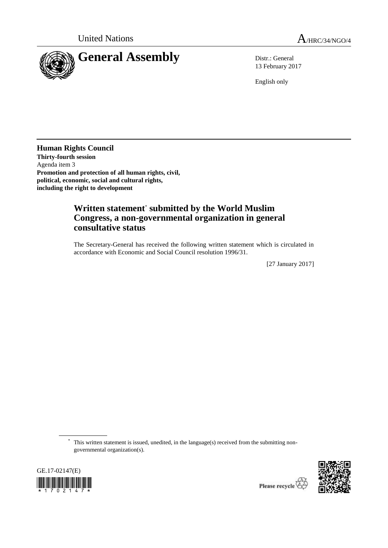

13 February 2017

English only

**Human Rights Council Thirty-fourth session** Agenda item 3 **Promotion and protection of all human rights, civil, political, economic, social and cultural rights, including the right to development**

## **Written statement**\* **submitted by the World Muslim Congress, a non-governmental organization in general consultative status**

The Secretary-General has received the following written statement which is circulated in accordance with Economic and Social Council resolution 1996/31.

[27 January 2017]

\* This written statement is issued, unedited, in the language(s) received from the submitting nongovernmental organization(s).



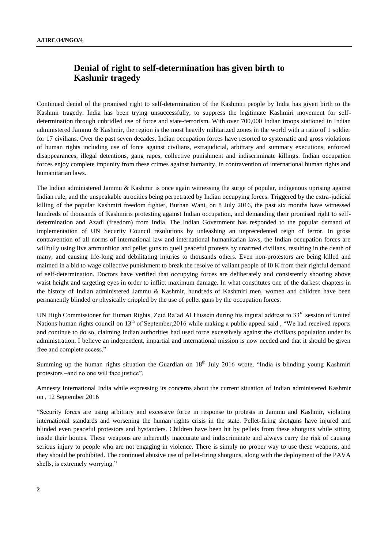## **Denial of right to self-determination has given birth to Kashmir tragedy**

Continued denial of the promised right to self-determination of the Kashmiri people by India has given birth to the Kashmir tragedy. India has been trying unsuccessfully, to suppress the legitimate Kashmiri movement for selfdetermination through unbridled use of force and state-terrorism. With over 700,000 Indian troops stationed in Indian administered Jammu & Kashmir, the region is the most heavily militarized zones in the world with a ratio of 1 soldier for 17 civilians. Over the past seven decades, Indian occupation forces have resorted to systematic and gross violations of human rights including use of force against civilians, extrajudicial, arbitrary and summary executions, enforced disappearances, illegal detentions, gang rapes, collective punishment and indiscriminate killings. Indian occupation forces enjoy complete impunity from these crimes against humanity, in contravention of international human rights and humanitarian laws.

The Indian administered Jammu & Kashmir is once again witnessing the surge of popular, indigenous uprising against Indian rule, and the unspeakable atrocities being perpetrated by Indian occupying forces. Triggered by the extra-judicial killing of the popular Kashmiri freedom fighter, Burhan Wani, on 8 July 2016, the past six months have witnessed hundreds of thousands of Kashmiris protesting against Indian occupation, and demanding their promised right to selfdetermination and Azadi (freedom) from India. The Indian Government has responded to the popular demand of implementation of UN Security Council resolutions by unleashing an unprecedented reign of terror. In gross contravention of all norms of international law and international humanitarian laws, the Indian occupation forces are willfully using live ammunition and pellet guns to quell peaceful protests by unarmed civilians, resulting in the death of many, and causing life-long and debilitating injuries to thousands others. Even non-protestors are being killed and maimed in a bid to wage collective punishment to break the resolve of valiant people of I0 K from their rightful demand of self-determination. Doctors have verified that occupying forces are deliberately and consistently shooting above waist height and targeting eyes in order to inflict maximum damage. In what constitutes one of the darkest chapters in the history of Indian administered Jammu & Kashmir, hundreds of Kashmiri men, women and children have been permanently blinded or physically crippled by the use of pellet guns by the occupation forces.

UN High Commissioner for Human Rights, Zeid Ra'ad Al Hussein during his ingural address to 33<sup>rd</sup> session of United Nations human rights council on 13<sup>th</sup> of September, 2016 while making a public appeal said, "We had received reports and continue to do so, claiming Indian authorities had used force excessively against the civilians population under its administration, I believe an independent, impartial and international mission is now needed and that it should be given free and complete access."

Summing up the human rights situation the Guardian on 18<sup>th</sup> July 2016 wrote, "India is blinding young Kashmiri protestors –and no one will face justice".

Amnesty International India while expressing its concerns about the current situation of Indian administered Kashmir on , 12 September 2016

"Security forces are using arbitrary and excessive force in response to protests in Jammu and Kashmir, violating international standards and worsening the human rights crisis in the state. Pellet-firing shotguns have injured and blinded even peaceful protestors and bystanders. Children have been hit by pellets from these shotguns while sitting inside their homes. These weapons are inherently inaccurate and indiscriminate and always carry the risk of causing serious injury to people who are not engaging in violence. There is simply no proper way to use these weapons, and they should be prohibited. The continued abusive use of pellet-firing shotguns, along with the deployment of the PAVA shells, is extremely worrying."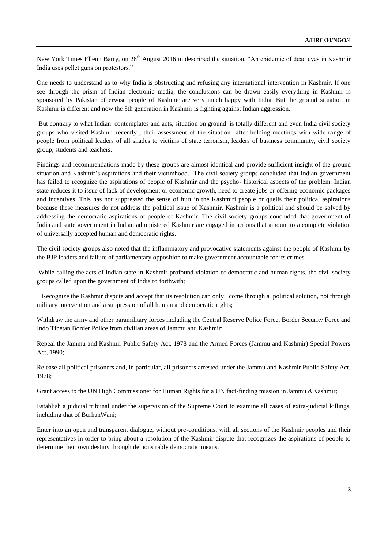New York Times Ellenn Barry, on 28<sup>th</sup> August 2016 in described the situation, "An epidemic of dead eyes in Kashmir India uses pellet guns on protestors."

One needs to understand as to why India is obstructing and refusing any international intervention in Kashmir. If one see through the prism of Indian electronic media, the conclusions can be drawn easily everything in Kashmir is sponsored by Pakistan otherwise people of Kashmir are very much happy with India. But the ground situation in Kashmir is different and now the 5th generation in Kashmir is fighting against Indian aggression.

But contrary to what Indian contemplates and acts, situation on ground is totally different and even India civil society groups who visited Kashmir recently , their assessment of the situation after holding meetings with wide range of people from political leaders of all shades to victims of state terrorism, leaders of business community, civil society group, students and teachers.

Findings and recommendations made by these groups are almost identical and provide sufficient insight of the ground situation and Kashmir's aspirations and their victimhood. The civil society groups concluded that Indian government has failed to recognize the aspirations of people of Kashmir and the psycho- historical aspects of the problem. Indian state reduces it to issue of lack of development or economic growth, need to create jobs or offering economic packages and incentives. This has not suppressed the sense of hurt in the Kashmiri people or quells their political aspirations because these measures do not address the political issue of Kashmir. Kashmir is a political and should be solved by addressing the democratic aspirations of people of Kashmir. The civil society groups concluded that government of India and state government in Indian administered Kashmir are engaged in actions that amount to a complete violation of universally accepted human and democratic rights.

The civil society groups also noted that the inflammatory and provocative statements against the people of Kashmir by the BJP leaders and failure of parliamentary opposition to make government accountable for its crimes.

While calling the acts of Indian state in Kashmir profound violation of democratic and human rights, the civil society groups called upon the government of India to forthwith;

 Recognize the Kashmir dispute and accept that its resolution can only come through a political solution, not through military intervention and a suppression of all human and democratic rights;

Withdraw the army and other paramilitary forces including the Central Reserve Police Force, Border Security Force and Indo Tibetan Border Police from civilian areas of Jammu and Kashmir;

Repeal the Jammu and Kashmir Public Safety Act, 1978 and the Armed Forces (Jammu and Kashmir) Special Powers Act, 1990;

Release all political prisoners and, in particular, all prisoners arrested under the Jammu and Kashmir Public Safety Act, 1978;

Grant access to the UN High Commissioner for Human Rights for a UN fact-finding mission in Jammu &Kashmir;

Establish a judicial tribunal under the supervision of the Supreme Court to examine all cases of extra-judicial killings, including that of BurhanWani;

Enter into an open and transparent dialogue, without pre-conditions, with all sections of the Kashmir peoples and their representatives in order to bring about a resolution of the Kashmir dispute that recognizes the aspirations of people to determine their own destiny through demonstrably democratic means.